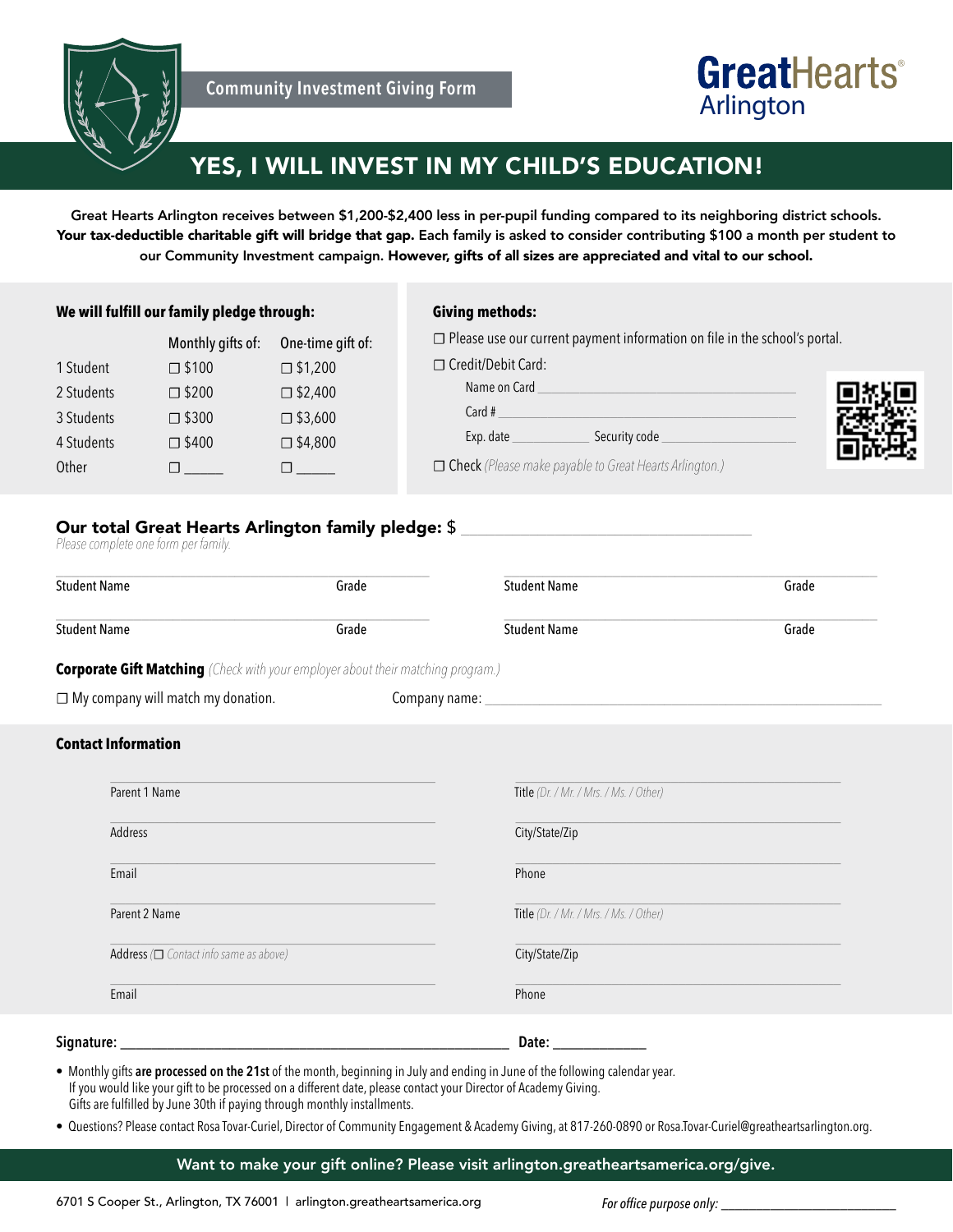

# **GreatHearts**® Arlington

## YES, I WILL INVEST IN MY CHILD'S EDUCATION!

Great Hearts Arlington receives between \$1,200-\$2,400 less in per-pupil funding compared to its neighboring district schools. Your tax-deductible charitable gift will bridge that gap. Each family is asked to consider contributing \$100 a month per student to our Community Investment campaign. However, gifts of all sizes are appreciated and vital to our school.

### **We will fulfill our family pledge through:**

### **Giving methods:**

**☐** Please use our current payment information on file in the school's portal.

|            | Monthly gifts of: | One-time gift of: | $\Box$ Piease use our cur |
|------------|-------------------|-------------------|---------------------------|
| 1 Student  | $\square$ \$100   | $\square$ \$1,200 | □ Credit/Debit Card:      |
| 2 Students | $\square$ \$200   | $\square$ \$2,400 | Name on Card              |
| 3 Students | $\square$ \$300   | $\square$ \$3,600 | Card $#$                  |
| 4 Students | $\square$ \$400   | $\square$ \$4,800 | Exp. date                 |
| Other      |                   |                   | $\Box$ Check (Please make |

| □ Credit/Debit Card:                                          |  |
|---------------------------------------------------------------|--|
| Name on Card                                                  |  |
| Card #                                                        |  |
| Exp. date<br>Security code                                    |  |
| <b>Theck</b> (Please make payable to Great Hearts Arlington.) |  |

## Our total Great Hearts Arlington family pledge: \$<br>Please complete one form per family.

| <b>Student Name</b>                                                                     | Grade | <b>Student Name</b>                    | Grade |
|-----------------------------------------------------------------------------------------|-------|----------------------------------------|-------|
| <b>Student Name</b>                                                                     | Grade | <b>Student Name</b>                    | Grade |
| <b>Corporate Gift Matching</b> (Check with your employer about their matching program.) |       |                                        |       |
| $\Box$ My company will match my donation.                                               |       |                                        |       |
| <b>Contact Information</b>                                                              |       |                                        |       |
| Parent 1 Name                                                                           |       | Title (Dr. / Mr. / Mrs. / Ms. / Other) |       |
| Address                                                                                 |       | City/State/Zip                         |       |
| Email                                                                                   |       | Phone                                  |       |
| Parent 2 Name                                                                           |       | Title (Dr. / Mr. / Mrs. / Ms. / Other) |       |
| Address $(\Box$ Contact info same as above)                                             |       | City/State/Zip                         |       |
| Email                                                                                   |       | Phone                                  |       |
| Signature:                                                                              |       | Date: $\overline{\phantom{a}}$         |       |

• Monthly gifts **are processed on the 21st** of the month, beginning in July and ending in June of the following calendar year. If you would like your gift to be processed on a different date, please contact your Director of Academy Giving. Gifts are fulfilled by June 30th if paying through monthly installments.

• Questions? Please contact Rosa Tovar-Curiel, Director of Community Engagement & Academy Giving, at 817-260-0890 or Rosa.Tovar-Curiel@greatheartsarlington.org.

Want to make your gift online? Please visit arlington.greatheartsamerica.org/give.